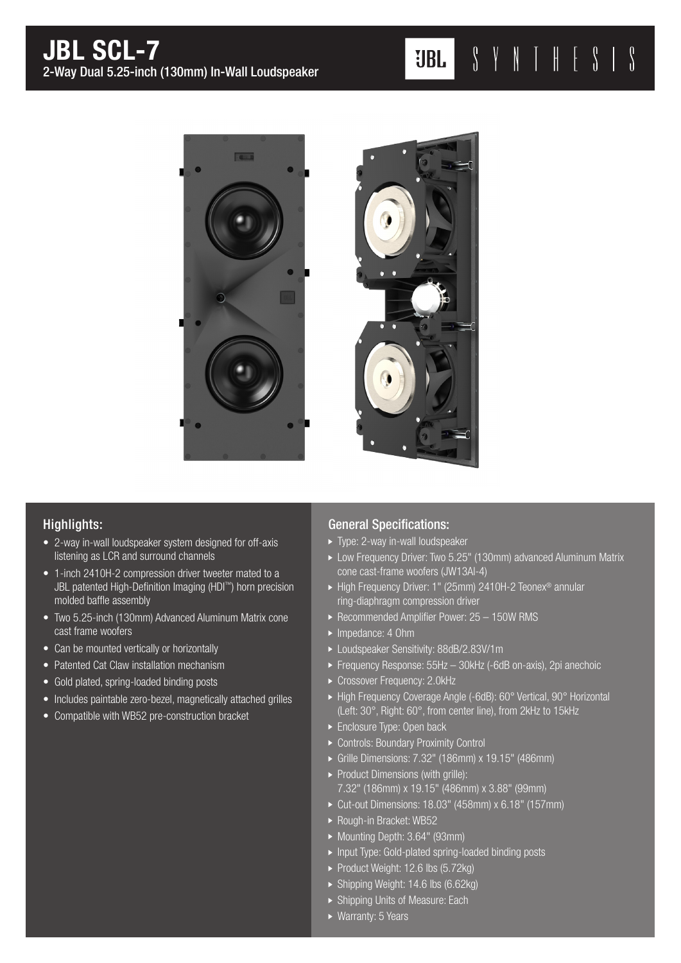



## Highlights:

- 2-way in-wall loudspeaker system designed for off-axis listening as LCR and surround channels
- 1-inch 2410H-2 compression driver tweeter mated to a JBL patented High-Definition Imaging (HDI™) horn precision molded baffle assembly
- Two 5.25-inch (130mm) Advanced Aluminum Matrix cone cast frame woofers
- Can be mounted vertically or horizontally
- Patented Cat Claw installation mechanism
- Gold plated, spring-loaded binding posts
- Includes paintable zero-bezel, magnetically attached grilles
- Compatible with WB52 pre-construction bracket

## General Specifications:

- ▶ Type: 2-way in-wall loudspeaker
- Low Frequency Driver: Two 5.25" (130mm) advanced Aluminum Matrix cone cast-frame woofers (JW13Al-4)
- ► High Frequency Driver: 1" (25mm) 2410H-2 Teonex<sup>®</sup> annular ring-diaphragm compression driver
- ▶ Recommended Amplifier Power: 25 150W RMS
- Impedance: 4 Ohm
- Loudspeaker Sensitivity: 88dB/2.83V/1m
- Frequency Response: 55Hz 30kHz (-6dB on-axis), 2pi anechoic
- Crossover Frequency: 2.0kHz
- ► High Frequency Coverage Angle (-6dB): 60° Vertical, 90° Horizontal (Left: 30°, Right: 60°, from center line), from 2kHz to 15kHz
- **Enclosure Type: Open back**
- ▶ Controls: Boundary Proximity Control
- Grille Dimensions: 7.32" (186mm) x 19.15" (486mm)
- $\triangleright$  Product Dimensions (with grille): 7.32" (186mm) x 19.15" (486mm) x 3.88" (99mm)
- Cut-out Dimensions: 18.03" (458mm) x 6.18" (157mm)
- ▶ Rough-in Bracket: WB52
- ▶ Mounting Depth: 3.64" (93mm)
- ▶ Input Type: Gold-plated spring-loaded binding posts
- Product Weight: 12.6 lbs (5.72kg)
- ▶ Shipping Weight: 14.6 lbs (6.62kg)
- Shipping Units of Measure: Each
- ▶ Warranty: 5 Years